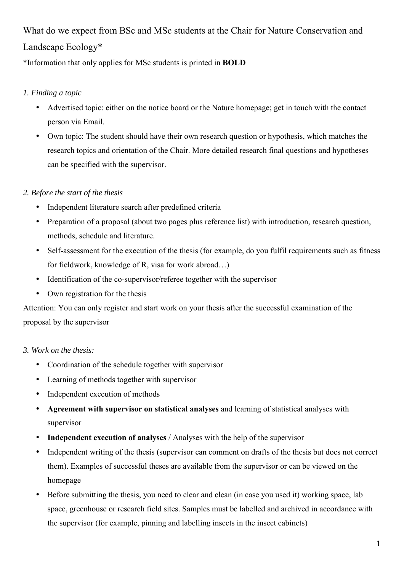# What do we expect from BSc and MSc students at the Chair for Nature Conservation and Landscape Ecology\*

\*Information that only applies for MSc students is printed in **BOLD**

## *1. Finding a topic*

- Advertised topic: either on the notice board or the Nature homepage; get in touch with the contact person via Email.
- Own topic: The student should have their own research question or hypothesis, which matches the research topics and orientation of the Chair. More detailed research final questions and hypotheses can be specified with the supervisor.

# *2. Before the start of the thesis*

- Independent literature search after predefined criteria
- Preparation of a proposal (about two pages plus reference list) with introduction, research question, methods, schedule and literature.
- Self-assessment for the execution of the thesis (for example, do you fulfil requirements such as fitness for fieldwork, knowledge of R, visa for work abroad…)
- Identification of the co-supervisor/referee together with the supervisor
- Own registration for the thesis

Attention: You can only register and start work on your thesis after the successful examination of the proposal by the supervisor

## *3. Work on the thesis:*

- Coordination of the schedule together with supervisor
- Learning of methods together with supervisor
- Independent execution of methods
- **Agreement with supervisor on statistical analyses** and learning of statistical analyses with supervisor
- **Independent execution of analyses** / Analyses with the help of the supervisor
- Independent writing of the thesis (supervisor can comment on drafts of the thesis but does not correct them). Examples of successful theses are available from the supervisor or can be viewed on the homepage
- Before submitting the thesis, you need to clear and clean (in case you used it) working space, lab space, greenhouse or research field sites. Samples must be labelled and archived in accordance with the supervisor (for example, pinning and labelling insects in the insect cabinets)